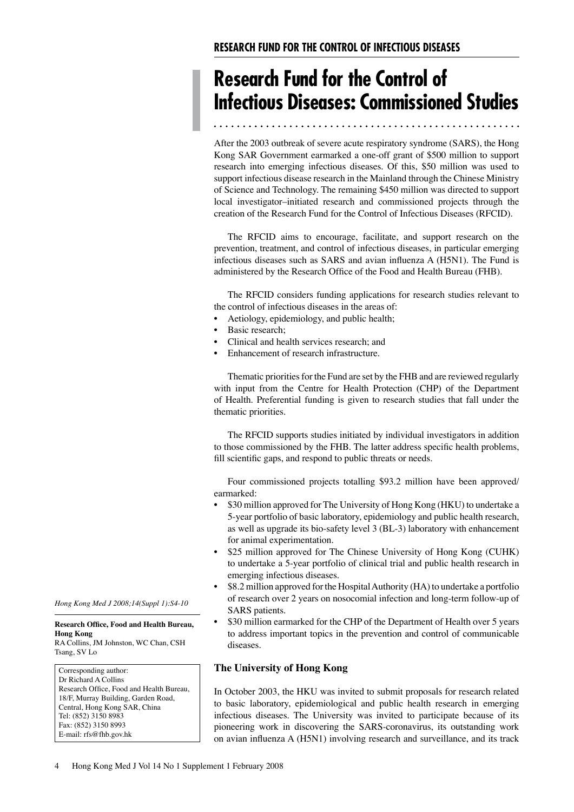# **Research Fund for the Control of Infectious Diseases: Commissioned Studies**

 After the 2003 outbreak of severe acute respiratory syndrome (SARS), the Hong Kong SAR Government earmarked a one-off grant of \$500 million to support research into emerging infectious diseases. Of this, \$50 million was used to support infectious disease research in the Mainland through the Chinese Ministry of Science and Technology. The remaining \$450 million was directed to support local investigator–initiated research and commissioned projects through the creation of the Research Fund for the Control of Infectious Diseases (RFCID).

 prevention, treatment, and control of infectious diseases, in particular emerging infectious diseases such as SARS and avian influenza A (H5N1). The Fund is administered by the Research Office of the Food and Health Bureau (FHB). The RFCID aims to encourage, facilitate, and support research on the

 the control of infectious diseases in the areas of: The RFCID considers funding applications for research studies relevant to

- Í. • Aetiology, epidemiology, and public health;
- Í, Basic research;
- Í. • Clinical and health services research; and
- Enhancement of research infrastructure.

 with input from the Centre for Health Protection (CHP) of the Department of Health. Preferential funding is given to research studies that fall under the Thematic priorities for the Fund are set by the FHB and are reviewed regularly thematic priorities.

 to those commissioned by the FHB. The latter address specific health problems, fill scientific gaps, and respond to public threats or needs. The RFCID supports studies initiated by individual investigators in addition

Four commissioned projects totalling \$93.2 million have been approved/ earmarked:

- $\bullet$  5-year portfolio of basic laboratory, epidemiology and public health research, as well as upgrade its bio-safety level 3 (BL-3) laboratory with enhancement for animal experimentation. • \$30 million approved for The University of Hong Kong (HKU) to undertake a
- Í. to undertake a 5-year portfolio of clinical trial and public health research in emerging infectious diseases. \$25 million approved for The Chinese University of Hong Kong (CUHK)
- Í. of research over 2 years on nosocomial infection and long-term follow-up of \$8.2 million approved for the Hospital Authority (HA) to undertake a portfolio SARS patients.
- Í, to address important topics in the prevention and control of communicable \$30 million earmarked for the CHP of the Department of Health over 5 years diseases.

# **The University of Hong Kong**

 In October 2003, the HKU was invited to submit proposals for research related to basic laboratory, epidemiological and public health research in emerging infectious diseases. The University was invited to participate because of its pioneering work in discovering the SARS-coronavirus, its outstanding work on avian influenza A (H5N1) involving research and surveillance, and its track

*Hong Kong Med J 2008;14(Suppl 1):S4-10* 

### **Research Office, Food and Health Bureau, Hong Kong**

RA Collins, JM Johnston, WC Chan, CSH Tsang, SV Lo

Corresponding author: Dr Richard A Collins Research Office, Food and Health Bureau, 18/F, Murray Building, Garden Road, Central, Hong Kong SAR, China Tel: (852) 3150 8983 Fax: (852) 3150 8993 E-mail: rfs@fhb.gov.hk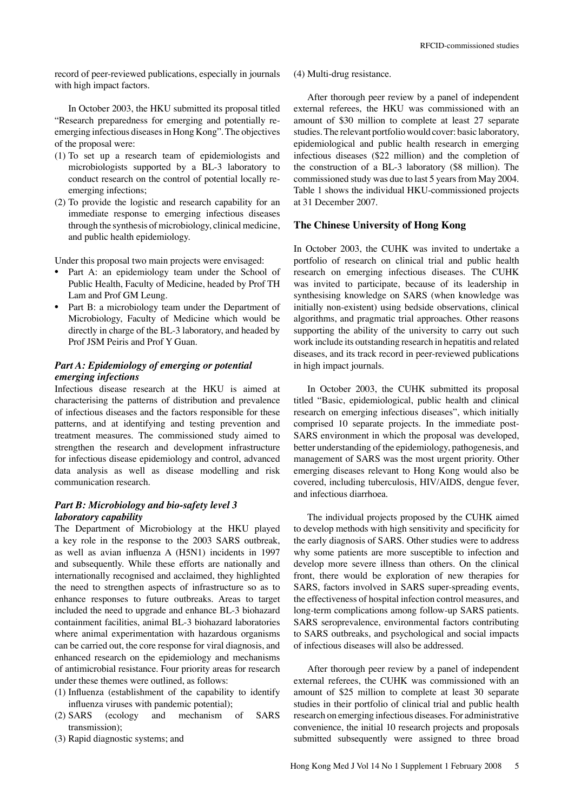record of peer-reviewed publications, especially in journals with high impact factors.

 "Research preparedness for emerging and potentially re- emerging infectious diseases in Hong Kong". The objectives of the proposal were: In October 2003, the HKU submitted its proposal titled

- (1) To set up a research team of epidemiologists and microbiologists supported by a BL-3 laboratory to conduct research on the control of potential locally reemerging infections;
- (2) To provide the logistic and research capability for an immediate response to emerging infectious diseases through the synthesis of microbiology, clinical medicine, and public health epidemiology.

Under this proposal two main projects were envisaged:

- • Part A: an epidemiology team under the School of Public Health, Faculty of Medicine, headed by Prof TH Lam and Prof GM Leung.
- • Part B: a microbiology team under the Department of Microbiology, Faculty of Medicine which would be directly in charge of the BL-3 laboratory, and headed by Prof JSM Peiris and Prof Y Guan.

# *Part A: Epidemiology of emerging or potential emerging infections*

 Infectious disease research at the HKU is aimed at characterising the patterns of distribution and prevalence of infectious diseases and the factors responsible for these patterns, and at identifying and testing prevention and treatment measures. The commissioned study aimed to strengthen the research and development infrastructure for infectious disease epidemiology and control, advanced data analysis as well as disease modelling and risk communication research.

# *Part B: Microbiology and bio-safety level 3 laboratory capability*

 The Department of Microbiology at the HKU played a key role in the response to the 2003 SARS outbreak, as well as avian influenza A (H5N1) incidents in 1997 and subsequently. While these efforts are nationally and internationally recognised and acclaimed, they highlighted the need to strengthen aspects of infrastructure so as to enhance responses to future outbreaks. Areas to target included the need to upgrade and enhance BL-3 biohazard containment facilities, animal BL-3 biohazard laboratories where animal experimentation with hazardous organisms can be carried out, the core response for viral diagnosis, and enhanced research on the epidemiology and mechanisms of antimicrobial resistance. Four priority areas for research under these themes were outlined, as follows:

- (1) Influenza (establishment of the capability to identify influenza viruses with pandemic potential);
- $(2)$  SARS (2) SARS (ecology and mechanism of SARS transmission);
- (3) Rapid diagnostic systems; and

(4) Multi-drug resistance.

 external referees, the HKU was commissioned with an amount of \$30 million to complete at least 27 separate studies.The relevant portfoliowould cover: basic laboratory, epidemiological and public health research in emerging infectious diseases (\$22 million) and the completion of the construction of a BL-3 laboratory (\$8 million). The commissioned study was due to last 5 years from May 2004. Table 1 shows the individual HKU-commissioned projects at 31 December 2007. After thorough peer review by a panel of independent

## **The Chinese University of Hong Kong**

 In October 2003, the CUHK was invited to undertake a portfolio of research on clinical trial and public health research on emerging infectious diseases. The CUHK was invited to participate, because of its leadership in synthesising knowledge on SARS (when knowledge was initially non-existent) using bedside observations, clinical algorithms, and pragmatic trial approaches. Other reasons supporting the ability of the university to carry out such work include its outstanding research in hepatitis and related diseases, and its track record in peer-reviewed publications in high impact journals.

 titled "Basic, epidemiological, public health and clinical research on emerging infectious diseases", which initially comprised 10 separate projects. In the immediate post- SARS environment in which the proposal was developed, better understanding of the epidemiology, pathogenesis, and management of SARS was the most urgent priority. Other emerging diseases relevant to Hong Kong would also be covered, including tuberculosis, HIV/AIDS, dengue fever, and infectious diarrhoea. In October 2003, the CUHK submitted its proposal

 to develop methods with high sensitivity and specificity for the early diagnosis of SARS. Other studies were to address why some patients are more susceptible to infection and develop more severe illness than others. On the clinical front, there would be exploration of new therapies for SARS, factors involved in SARS super-spreading events, the effectiveness of hospital infection control measures, and long-term complications among follow-up SARS patients. SARS seroprevalence, environmental factors contributing to SARS outbreaks, and psychological and social impacts of infectious diseases will also be addressed. The individual projects proposed by the CUHK aimed

 external referees, the CUHK was commissioned with an amount of \$25 million to complete at least 30 separate studies in their portfolio of clinical trial and public health research on emerging infectious diseases. For administrative convenience, the initial 10 research projects and proposals submitted subsequently were assigned to three broad After thorough peer review by a panel of independent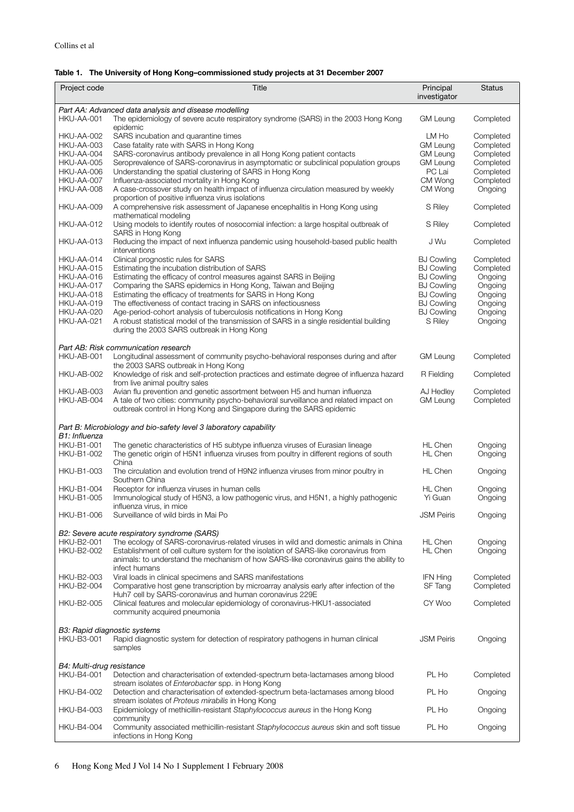### **Table 1. The University of Hong Kong–commissioned study projects at 31 December 2007**

| Project code                           | Title                                                                                                                                                                                                                                                                   | Principal<br>investigator        | <b>Status</b>          |  |
|----------------------------------------|-------------------------------------------------------------------------------------------------------------------------------------------------------------------------------------------------------------------------------------------------------------------------|----------------------------------|------------------------|--|
|                                        | Part AA: Advanced data analysis and disease modelling                                                                                                                                                                                                                   |                                  |                        |  |
| HKU-AA-001                             | The epidemiology of severe acute respiratory syndrome (SARS) in the 2003 Hong Kong<br>epidemic                                                                                                                                                                          | <b>GM Leung</b>                  | Completed              |  |
| <b>HKU-AA-002</b>                      | SARS incubation and quarantine times                                                                                                                                                                                                                                    | LM Ho                            | Completed              |  |
| <b>HKU-AA-003</b>                      | Case fatality rate with SARS in Hong Kong                                                                                                                                                                                                                               | <b>GM Leung</b>                  | Completed              |  |
| HKU-AA-004                             | SARS-coronavirus antibody prevalence in all Hong Kong patient contacts                                                                                                                                                                                                  | <b>GM Leung</b>                  | Completed              |  |
| HKU-AA-005                             | Seroprevalence of SARS-coronavirus in asymptomatic or subclinical population groups                                                                                                                                                                                     | <b>GM Leung</b>                  | Completed              |  |
| HKU-AA-006                             | Understanding the spatial clustering of SARS in Hong Kong                                                                                                                                                                                                               | PC Lai                           | Completed              |  |
| HKU-AA-007                             | Influenza-associated mortality in Hong Kong                                                                                                                                                                                                                             | CM Wong                          | Completed              |  |
| HKU-AA-008                             | A case-crossover study on health impact of influenza circulation measured by weekly<br>proportion of positive influenza virus isolations                                                                                                                                | CM Wong                          | Ongoing                |  |
| HKU-AA-009                             | A comprehensive risk assessment of Japanese encephalitis in Hong Kong using<br>mathematical modeling                                                                                                                                                                    | S Riley                          | Completed              |  |
| HKU-AA-012                             | Using models to identify routes of nosocomial infection: a large hospital outbreak of<br>SARS in Hong Kong                                                                                                                                                              | S Riley                          | Completed              |  |
| HKU-AA-013                             | Reducing the impact of next influenza pandemic using household-based public health<br>interventions                                                                                                                                                                     | J Wu                             | Completed              |  |
| HKU-AA-014                             | Clinical prognostic rules for SARS                                                                                                                                                                                                                                      | <b>BJ Cowling</b>                | Completed              |  |
| HKU-AA-015                             | Estimating the incubation distribution of SARS                                                                                                                                                                                                                          | <b>BJ Cowling</b>                | Completed              |  |
| HKU-AA-016                             | Estimating the efficacy of control measures against SARS in Beijing                                                                                                                                                                                                     | <b>BJ Cowling</b>                | Ongoing                |  |
| HKU-AA-017                             | Comparing the SARS epidemics in Hong Kong, Taiwan and Beijing                                                                                                                                                                                                           | <b>BJ Cowling</b>                | Ongoing                |  |
| HKU-AA-018                             | Estimating the efficacy of treatments for SARS in Hong Kong                                                                                                                                                                                                             | <b>BJ Cowling</b>                | Ongoing                |  |
| HKU-AA-019                             | The effectiveness of contact tracing in SARS on infectiousness                                                                                                                                                                                                          | <b>BJ Cowling</b>                | Ongoing                |  |
| <b>HKU-AA-020</b>                      | Age-period-cohort analysis of tuberculosis notifications in Hong Kong                                                                                                                                                                                                   | <b>BJ Cowling</b>                | Ongoing                |  |
| <b>HKU-AA-021</b>                      | A robust statistical model of the transmission of SARS in a single residential building                                                                                                                                                                                 | S Riley                          | Ongoing                |  |
|                                        | during the 2003 SARS outbreak in Hong Kong                                                                                                                                                                                                                              |                                  |                        |  |
|                                        | Part AB: Risk communication research                                                                                                                                                                                                                                    |                                  |                        |  |
| HKU-AB-001                             | Longitudinal assessment of community psycho-behavioral responses during and after<br>the 2003 SARS outbreak in Hong Kong                                                                                                                                                | <b>GM Leung</b>                  | Completed              |  |
| <b>HKU-AB-002</b>                      | Knowledge of risk and self-protection practices and estimate degree of influenza hazard<br>from live animal poultry sales                                                                                                                                               | R Fielding                       | Completed              |  |
| HKU-AB-003                             | Avian flu prevention and genetic assortment between H5 and human influenza                                                                                                                                                                                              | AJ Hedley                        | Completed              |  |
| HKU-AB-004                             | A tale of two cities: community psycho-behavioral surveillance and related impact on<br>outbreak control in Hong Kong and Singapore during the SARS epidemic                                                                                                            | <b>GM Leung</b>                  | Completed              |  |
| B1: Influenza                          | Part B: Microbiology and bio-safety level 3 laboratory capability                                                                                                                                                                                                       |                                  |                        |  |
| <b>HKU-B1-001</b>                      | The genetic characteristics of H5 subtype influenza viruses of Eurasian lineage                                                                                                                                                                                         | <b>HL Chen</b>                   | Ongoing                |  |
| <b>HKU-B1-002</b>                      | The genetic origin of H5N1 influenza viruses from poultry in different regions of south<br>China                                                                                                                                                                        | <b>HL Chen</b>                   | Ongoing                |  |
| <b>HKU-B1-003</b>                      | The circulation and evolution trend of H9N2 influenza viruses from minor poultry in<br>Southern China                                                                                                                                                                   | <b>HL Chen</b>                   | Ongoing                |  |
| <b>HKU-B1-004</b>                      | Receptor for influenza viruses in human cells                                                                                                                                                                                                                           | <b>HL Chen</b>                   | Ongoing                |  |
| HKU-B1-005                             | Immunological study of H5N3, a low pathogenic virus, and H5N1, a highly pathogenic<br>influenza virus, in mice                                                                                                                                                          | Yi Guan                          | Ongoing                |  |
| <b>HKU-B1-006</b>                      | Surveillance of wild birds in Mai Po                                                                                                                                                                                                                                    | <b>JSM Peiris</b>                | Ongoing                |  |
|                                        | B2: Severe acute respiratory syndrome (SARS)                                                                                                                                                                                                                            |                                  |                        |  |
| <b>HKU-B2-001</b><br><b>HKU-B2-002</b> | The ecology of SARS-coronavirus-related viruses in wild and domestic animals in China<br>Establishment of cell culture system for the isolation of SARS-like coronavirus from<br>animals: to understand the mechanism of how SARS-like coronavirus gains the ability to | <b>HL Chen</b><br><b>HL Chen</b> | Ongoing<br>Ongoing     |  |
|                                        | infect humans                                                                                                                                                                                                                                                           |                                  |                        |  |
| <b>HKU-B2-003</b><br><b>HKU-B2-004</b> | Viral loads in clinical specimens and SARS manifestations<br>Comparative host gene transcription by microarray analysis early after infection of the                                                                                                                    | <b>IFN Hing</b><br>SF Tang       | Completed<br>Completed |  |
| <b>HKU-B2-005</b>                      | Huh7 cell by SARS-coronavirus and human coronavirus 229E<br>Clinical features and molecular epidemiology of coronavirus-HKU1-associated                                                                                                                                 | CY Woo                           | Completed              |  |
|                                        | community acquired pneumonia                                                                                                                                                                                                                                            |                                  |                        |  |
|                                        | B3: Rapid diagnostic systems                                                                                                                                                                                                                                            |                                  |                        |  |
| HKU-B3-001                             | Rapid diagnostic system for detection of respiratory pathogens in human clinical<br>samples                                                                                                                                                                             | <b>JSM Peiris</b>                | Ongoing                |  |
| B4: Multi-drug resistance              |                                                                                                                                                                                                                                                                         |                                  |                        |  |
| <b>HKU-B4-001</b>                      | Detection and characterisation of extended-spectrum beta-lactamases among blood                                                                                                                                                                                         | PL Ho                            | Completed              |  |
| HKU-B4-002                             | stream isolates of Enterobacter spp. in Hong Kong<br>Detection and characterisation of extended-spectrum beta-lactamases among blood<br>stream isolates of Proteus mirabilis in Hong Kong                                                                               | PL Ho                            | Ongoing                |  |
| HKU-B4-003                             | Epidemiology of methicillin-resistant Staphylococcus aureus in the Hong Kong                                                                                                                                                                                            | PL Ho                            | Ongoing                |  |
| <b>HKU-B4-004</b>                      | community<br>Community associated methicillin-resistant Staphylococcus aureus skin and soft tissue<br>infections in Hong Kong                                                                                                                                           | PL Ho                            | Ongoing                |  |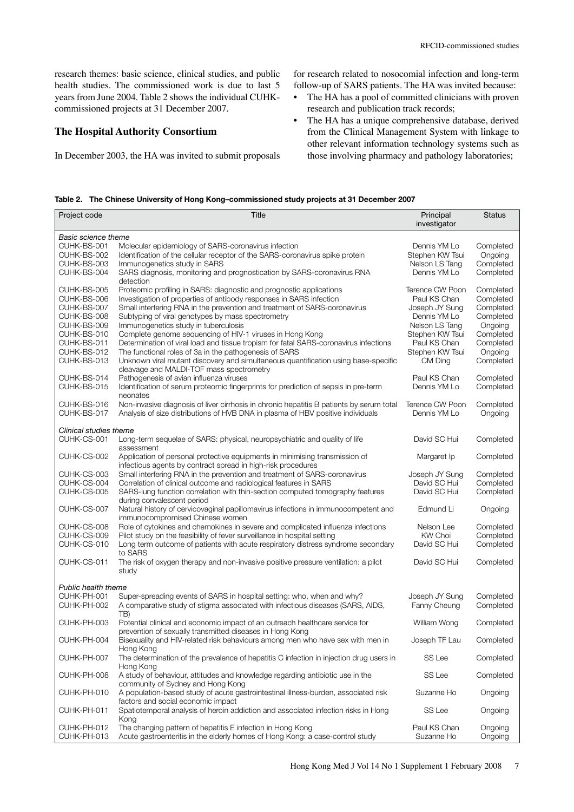research themes: basic science, clinical studies, and public health studies. The commissioned work is due to last 5 years from June 2004. Table 2 shows the individual CUHK-commissioned projects at 31 December 2007.

# **The Hospital Authority Consortium**

In December 2003, the HA was invited to submit proposals

 for research related to nosocomial infection and long-term follow-up of SARS patients. The HA was invited because:

- $\bullet$  research and publication track records; The HA has a pool of committed clinicians with proven
- $\bullet$  from the Clinical Management System with linkage to other relevant information technology systems such as those involving pharmacy and pathology laboratories; The HA has a unique comprehensive database, derived

|  | Table 2. The Chinese University of Hong Kong-commissioned study projects at 31 December 2007 |  |  |  |  |
|--|----------------------------------------------------------------------------------------------|--|--|--|--|
|--|----------------------------------------------------------------------------------------------|--|--|--|--|

| Basic science theme<br>CUHK-BS-001<br>Molecular epidemiology of SARS-coronavirus infection<br>Dennis YM Lo<br>Completed<br>CUHK-BS-002<br>Identification of the cellular receptor of the SARS-coronavirus spike protein<br>Stephen KW Tsui<br>Ongoing<br>CUHK-BS-003<br>Completed<br>Immunogenetics study in SARS<br>Nelson LS Tang<br>CUHK-BS-004<br>SARS diagnosis, monitoring and prognostication by SARS-coronavirus RNA<br>Completed<br>Dennis YM Lo<br>detection<br>CUHK-BS-005<br>Proteomic profiling in SARS: diagnostic and prognostic applications<br>Terence CW Poon<br>Completed<br>CUHK-BS-006<br>Investigation of properties of antibody responses in SARS infection<br>Paul KS Chan<br>Completed<br>CUHK-BS-007<br>Small interfering RNA in the prevention and treatment of SARS-coronavirus<br>Completed<br>Joseph JY Sung<br>CUHK-BS-008<br>Completed<br>Subtyping of viral genotypes by mass spectrometry<br>Dennis YM Lo<br>CUHK-BS-009<br>Immunogenetics study in tuberculosis<br>Ongoing<br>Nelson LS Tang<br>CUHK-BS-010<br>Stephen KW Tsui<br>Completed<br>Complete genome sequencing of HIV-1 viruses in Hong Kong<br>CUHK-BS-011<br>Determination of viral load and tissue tropism for fatal SARS-coronavirus infections<br>Paul KS Chan<br>Completed<br>CUHK-BS-012<br>The functional roles of 3a in the pathogenesis of SARS<br>Stephen KW Tsui<br>Ongoing<br>CUHK-BS-013<br>Unknown viral mutant discovery and simultaneous quantification using base-specific<br>Completed<br>CM Ding<br>cleavage and MALDI-TOF mass spectrometry<br>CUHK-BS-014<br>Pathogenesis of avian influenza viruses<br>Completed<br>Paul KS Chan<br>CUHK-BS-015<br>Identification of serum proteomic fingerprints for prediction of sepsis in pre-term<br>Dennis YM Lo<br>Completed<br>neonates<br>CUHK-BS-016<br>Non-invasive diagnosis of liver cirrhosis in chronic hepatitis B patients by serum total<br>Terence CW Poon<br>Completed<br>CUHK-BS-017<br>Analysis of size distributions of HVB DNA in plasma of HBV positive individuals<br>Dennis YM Lo<br>Ongoing<br>Clinical studies theme<br>CUHK-CS-001<br>Long-term sequelae of SARS: physical, neuropsychiatric and quality of life<br>David SC Hui<br>Completed<br>assessment<br>CUHK-CS-002<br>Application of personal protective equipments in minimising transmission of<br>Completed<br>Margaret Ip<br>infectious agents by contract spread in high-risk procedures<br>CUHK-CS-003<br>Small interfering RNA in the prevention and treatment of SARS-coronavirus<br>Joseph JY Sung<br>Completed<br>CUHK-CS-004<br>Correlation of clinical outcome and radiological features in SARS<br>David SC Hui<br>Completed<br>CUHK-CS-005<br>David SC Hui<br>Completed<br>SARS-lung function correlation with thin-section computed tomography features<br>during convalescent period<br>CUHK-CS-007<br>Natural history of cervicovaginal papillomavirus infections in immunocompetent and<br>Edmund Li<br>Ongoing<br>immunocompromised Chinese women<br>CUHK-CS-008<br>Role of cytokines and chemokines in severe and complicated influenza infections<br>Completed<br>Nelson Lee<br>CUHK-CS-009<br>Pilot study on the feasibility of fever surveillance in hospital setting<br>KW Choi<br>Completed<br>CUHK-CS-010<br>Long term outcome of patients with acute respiratory distress syndrome secondary<br>Completed<br>David SC Hui<br>to SARS<br>CUHK-CS-011<br>The risk of oxygen therapy and non-invasive positive pressure ventilation: a pilot<br>Completed<br>David SC Hui<br>study<br>Public health theme<br>CUHK-PH-001<br>Super-spreading events of SARS in hospital setting: who, when and why?<br>Joseph JY Sung<br>Completed<br>CUHK-PH-002<br>A comparative study of stigma associated with infectious diseases (SARS, AIDS,<br>Fanny Cheung<br>Completed<br>TB)<br>CUHK-PH-003<br>Completed<br>Potential clinical and economic impact of an outreach healthcare service for<br>William Wong<br>prevention of sexually transmitted diseases in Hong Kong<br>CUHK-PH-004<br>Bisexuality and HIV-related risk behaviours among men who have sex with men in<br>Joseph TF Lau<br>Completed<br>Hong Kong<br>SS Lee<br>CUHK-PH-007<br>The determination of the prevalence of hepatitis C infection in injection drug users in<br>Completed<br>Hong Kong<br>CUHK-PH-008<br>A study of behaviour, attitudes and knowledge regarding antibiotic use in the<br>SS Lee<br>Completed<br>community of Sydney and Hong Kong<br>CUHK-PH-010<br>A population-based study of acute gastrointestinal illness-burden, associated risk<br>Suzanne Ho<br>Ongoing<br>factors and social economic impact<br>CUHK-PH-011<br>Spatiotemporal analysis of heroin addiction and associated infection risks in Hong<br>SS Lee<br>Ongoing<br>Kong<br>CUHK-PH-012<br>The changing pattern of hepatitis E infection in Hong Kong<br>Paul KS Chan<br>Ongoing<br>CUHK-PH-013<br>Acute gastroenteritis in the elderly homes of Hong Kong: a case-control study<br>Suzanne Ho<br>Ongoing | Project code | <b>Title</b> | Principal<br>investigator | <b>Status</b> |
|--------------------------------------------------------------------------------------------------------------------------------------------------------------------------------------------------------------------------------------------------------------------------------------------------------------------------------------------------------------------------------------------------------------------------------------------------------------------------------------------------------------------------------------------------------------------------------------------------------------------------------------------------------------------------------------------------------------------------------------------------------------------------------------------------------------------------------------------------------------------------------------------------------------------------------------------------------------------------------------------------------------------------------------------------------------------------------------------------------------------------------------------------------------------------------------------------------------------------------------------------------------------------------------------------------------------------------------------------------------------------------------------------------------------------------------------------------------------------------------------------------------------------------------------------------------------------------------------------------------------------------------------------------------------------------------------------------------------------------------------------------------------------------------------------------------------------------------------------------------------------------------------------------------------------------------------------------------------------------------------------------------------------------------------------------------------------------------------------------------------------------------------------------------------------------------------------------------------------------------------------------------------------------------------------------------------------------------------------------------------------------------------------------------------------------------------------------------------------------------------------------------------------------------------------------------------------------------------------------------------------------------------------------------------------------------------------------------------------------------------------------------------------------------------------------------------------------------------------------------------------------------------------------------------------------------------------------------------------------------------------------------------------------------------------------------------------------------------------------------------------------------------------------------------------------------------------------------------------------------------------------------------------------------------------------------------------------------------------------------------------------------------------------------------------------------------------------------------------------------------------------------------------------------------------------------------------------------------------------------------------------------------------------------------------------------------------------------------------------------------------------------------------------------------------------------------------------------------------------------------------------------------------------------------------------------------------------------------------------------------------------------------------------------------------------------------------------------------------------------------------------------------------------------------------------------------------------------------------------------------------------------------------------------------------------------------------------------------------------------------------------------------------------------------------------------------------------------------------------------------------------------------------------------------------------------------------------------------------------------------------------------------------------------------------------------------------------------------------------------------------------------------------------------------------------------------------------------------------------------------------------------------------------------------------------------------------------------------------------------------------------------------------------|--------------|--------------|---------------------------|---------------|
|                                                                                                                                                                                                                                                                                                                                                                                                                                                                                                                                                                                                                                                                                                                                                                                                                                                                                                                                                                                                                                                                                                                                                                                                                                                                                                                                                                                                                                                                                                                                                                                                                                                                                                                                                                                                                                                                                                                                                                                                                                                                                                                                                                                                                                                                                                                                                                                                                                                                                                                                                                                                                                                                                                                                                                                                                                                                                                                                                                                                                                                                                                                                                                                                                                                                                                                                                                                                                                                                                                                                                                                                                                                                                                                                                                                                                                                                                                                                                                                                                                                                                                                                                                                                                                                                                                                                                                                                                                                                                                                                                                                                                                                                                                                                                                                                                                                                                                                                                                                                                                |              |              |                           |               |
|                                                                                                                                                                                                                                                                                                                                                                                                                                                                                                                                                                                                                                                                                                                                                                                                                                                                                                                                                                                                                                                                                                                                                                                                                                                                                                                                                                                                                                                                                                                                                                                                                                                                                                                                                                                                                                                                                                                                                                                                                                                                                                                                                                                                                                                                                                                                                                                                                                                                                                                                                                                                                                                                                                                                                                                                                                                                                                                                                                                                                                                                                                                                                                                                                                                                                                                                                                                                                                                                                                                                                                                                                                                                                                                                                                                                                                                                                                                                                                                                                                                                                                                                                                                                                                                                                                                                                                                                                                                                                                                                                                                                                                                                                                                                                                                                                                                                                                                                                                                                                                |              |              |                           |               |
|                                                                                                                                                                                                                                                                                                                                                                                                                                                                                                                                                                                                                                                                                                                                                                                                                                                                                                                                                                                                                                                                                                                                                                                                                                                                                                                                                                                                                                                                                                                                                                                                                                                                                                                                                                                                                                                                                                                                                                                                                                                                                                                                                                                                                                                                                                                                                                                                                                                                                                                                                                                                                                                                                                                                                                                                                                                                                                                                                                                                                                                                                                                                                                                                                                                                                                                                                                                                                                                                                                                                                                                                                                                                                                                                                                                                                                                                                                                                                                                                                                                                                                                                                                                                                                                                                                                                                                                                                                                                                                                                                                                                                                                                                                                                                                                                                                                                                                                                                                                                                                |              |              |                           |               |
|                                                                                                                                                                                                                                                                                                                                                                                                                                                                                                                                                                                                                                                                                                                                                                                                                                                                                                                                                                                                                                                                                                                                                                                                                                                                                                                                                                                                                                                                                                                                                                                                                                                                                                                                                                                                                                                                                                                                                                                                                                                                                                                                                                                                                                                                                                                                                                                                                                                                                                                                                                                                                                                                                                                                                                                                                                                                                                                                                                                                                                                                                                                                                                                                                                                                                                                                                                                                                                                                                                                                                                                                                                                                                                                                                                                                                                                                                                                                                                                                                                                                                                                                                                                                                                                                                                                                                                                                                                                                                                                                                                                                                                                                                                                                                                                                                                                                                                                                                                                                                                |              |              |                           |               |
|                                                                                                                                                                                                                                                                                                                                                                                                                                                                                                                                                                                                                                                                                                                                                                                                                                                                                                                                                                                                                                                                                                                                                                                                                                                                                                                                                                                                                                                                                                                                                                                                                                                                                                                                                                                                                                                                                                                                                                                                                                                                                                                                                                                                                                                                                                                                                                                                                                                                                                                                                                                                                                                                                                                                                                                                                                                                                                                                                                                                                                                                                                                                                                                                                                                                                                                                                                                                                                                                                                                                                                                                                                                                                                                                                                                                                                                                                                                                                                                                                                                                                                                                                                                                                                                                                                                                                                                                                                                                                                                                                                                                                                                                                                                                                                                                                                                                                                                                                                                                                                |              |              |                           |               |
|                                                                                                                                                                                                                                                                                                                                                                                                                                                                                                                                                                                                                                                                                                                                                                                                                                                                                                                                                                                                                                                                                                                                                                                                                                                                                                                                                                                                                                                                                                                                                                                                                                                                                                                                                                                                                                                                                                                                                                                                                                                                                                                                                                                                                                                                                                                                                                                                                                                                                                                                                                                                                                                                                                                                                                                                                                                                                                                                                                                                                                                                                                                                                                                                                                                                                                                                                                                                                                                                                                                                                                                                                                                                                                                                                                                                                                                                                                                                                                                                                                                                                                                                                                                                                                                                                                                                                                                                                                                                                                                                                                                                                                                                                                                                                                                                                                                                                                                                                                                                                                |              |              |                           |               |
|                                                                                                                                                                                                                                                                                                                                                                                                                                                                                                                                                                                                                                                                                                                                                                                                                                                                                                                                                                                                                                                                                                                                                                                                                                                                                                                                                                                                                                                                                                                                                                                                                                                                                                                                                                                                                                                                                                                                                                                                                                                                                                                                                                                                                                                                                                                                                                                                                                                                                                                                                                                                                                                                                                                                                                                                                                                                                                                                                                                                                                                                                                                                                                                                                                                                                                                                                                                                                                                                                                                                                                                                                                                                                                                                                                                                                                                                                                                                                                                                                                                                                                                                                                                                                                                                                                                                                                                                                                                                                                                                                                                                                                                                                                                                                                                                                                                                                                                                                                                                                                |              |              |                           |               |
|                                                                                                                                                                                                                                                                                                                                                                                                                                                                                                                                                                                                                                                                                                                                                                                                                                                                                                                                                                                                                                                                                                                                                                                                                                                                                                                                                                                                                                                                                                                                                                                                                                                                                                                                                                                                                                                                                                                                                                                                                                                                                                                                                                                                                                                                                                                                                                                                                                                                                                                                                                                                                                                                                                                                                                                                                                                                                                                                                                                                                                                                                                                                                                                                                                                                                                                                                                                                                                                                                                                                                                                                                                                                                                                                                                                                                                                                                                                                                                                                                                                                                                                                                                                                                                                                                                                                                                                                                                                                                                                                                                                                                                                                                                                                                                                                                                                                                                                                                                                                                                |              |              |                           |               |
|                                                                                                                                                                                                                                                                                                                                                                                                                                                                                                                                                                                                                                                                                                                                                                                                                                                                                                                                                                                                                                                                                                                                                                                                                                                                                                                                                                                                                                                                                                                                                                                                                                                                                                                                                                                                                                                                                                                                                                                                                                                                                                                                                                                                                                                                                                                                                                                                                                                                                                                                                                                                                                                                                                                                                                                                                                                                                                                                                                                                                                                                                                                                                                                                                                                                                                                                                                                                                                                                                                                                                                                                                                                                                                                                                                                                                                                                                                                                                                                                                                                                                                                                                                                                                                                                                                                                                                                                                                                                                                                                                                                                                                                                                                                                                                                                                                                                                                                                                                                                                                |              |              |                           |               |
|                                                                                                                                                                                                                                                                                                                                                                                                                                                                                                                                                                                                                                                                                                                                                                                                                                                                                                                                                                                                                                                                                                                                                                                                                                                                                                                                                                                                                                                                                                                                                                                                                                                                                                                                                                                                                                                                                                                                                                                                                                                                                                                                                                                                                                                                                                                                                                                                                                                                                                                                                                                                                                                                                                                                                                                                                                                                                                                                                                                                                                                                                                                                                                                                                                                                                                                                                                                                                                                                                                                                                                                                                                                                                                                                                                                                                                                                                                                                                                                                                                                                                                                                                                                                                                                                                                                                                                                                                                                                                                                                                                                                                                                                                                                                                                                                                                                                                                                                                                                                                                |              |              |                           |               |
|                                                                                                                                                                                                                                                                                                                                                                                                                                                                                                                                                                                                                                                                                                                                                                                                                                                                                                                                                                                                                                                                                                                                                                                                                                                                                                                                                                                                                                                                                                                                                                                                                                                                                                                                                                                                                                                                                                                                                                                                                                                                                                                                                                                                                                                                                                                                                                                                                                                                                                                                                                                                                                                                                                                                                                                                                                                                                                                                                                                                                                                                                                                                                                                                                                                                                                                                                                                                                                                                                                                                                                                                                                                                                                                                                                                                                                                                                                                                                                                                                                                                                                                                                                                                                                                                                                                                                                                                                                                                                                                                                                                                                                                                                                                                                                                                                                                                                                                                                                                                                                |              |              |                           |               |
|                                                                                                                                                                                                                                                                                                                                                                                                                                                                                                                                                                                                                                                                                                                                                                                                                                                                                                                                                                                                                                                                                                                                                                                                                                                                                                                                                                                                                                                                                                                                                                                                                                                                                                                                                                                                                                                                                                                                                                                                                                                                                                                                                                                                                                                                                                                                                                                                                                                                                                                                                                                                                                                                                                                                                                                                                                                                                                                                                                                                                                                                                                                                                                                                                                                                                                                                                                                                                                                                                                                                                                                                                                                                                                                                                                                                                                                                                                                                                                                                                                                                                                                                                                                                                                                                                                                                                                                                                                                                                                                                                                                                                                                                                                                                                                                                                                                                                                                                                                                                                                |              |              |                           |               |
|                                                                                                                                                                                                                                                                                                                                                                                                                                                                                                                                                                                                                                                                                                                                                                                                                                                                                                                                                                                                                                                                                                                                                                                                                                                                                                                                                                                                                                                                                                                                                                                                                                                                                                                                                                                                                                                                                                                                                                                                                                                                                                                                                                                                                                                                                                                                                                                                                                                                                                                                                                                                                                                                                                                                                                                                                                                                                                                                                                                                                                                                                                                                                                                                                                                                                                                                                                                                                                                                                                                                                                                                                                                                                                                                                                                                                                                                                                                                                                                                                                                                                                                                                                                                                                                                                                                                                                                                                                                                                                                                                                                                                                                                                                                                                                                                                                                                                                                                                                                                                                |              |              |                           |               |
|                                                                                                                                                                                                                                                                                                                                                                                                                                                                                                                                                                                                                                                                                                                                                                                                                                                                                                                                                                                                                                                                                                                                                                                                                                                                                                                                                                                                                                                                                                                                                                                                                                                                                                                                                                                                                                                                                                                                                                                                                                                                                                                                                                                                                                                                                                                                                                                                                                                                                                                                                                                                                                                                                                                                                                                                                                                                                                                                                                                                                                                                                                                                                                                                                                                                                                                                                                                                                                                                                                                                                                                                                                                                                                                                                                                                                                                                                                                                                                                                                                                                                                                                                                                                                                                                                                                                                                                                                                                                                                                                                                                                                                                                                                                                                                                                                                                                                                                                                                                                                                |              |              |                           |               |
|                                                                                                                                                                                                                                                                                                                                                                                                                                                                                                                                                                                                                                                                                                                                                                                                                                                                                                                                                                                                                                                                                                                                                                                                                                                                                                                                                                                                                                                                                                                                                                                                                                                                                                                                                                                                                                                                                                                                                                                                                                                                                                                                                                                                                                                                                                                                                                                                                                                                                                                                                                                                                                                                                                                                                                                                                                                                                                                                                                                                                                                                                                                                                                                                                                                                                                                                                                                                                                                                                                                                                                                                                                                                                                                                                                                                                                                                                                                                                                                                                                                                                                                                                                                                                                                                                                                                                                                                                                                                                                                                                                                                                                                                                                                                                                                                                                                                                                                                                                                                                                |              |              |                           |               |
|                                                                                                                                                                                                                                                                                                                                                                                                                                                                                                                                                                                                                                                                                                                                                                                                                                                                                                                                                                                                                                                                                                                                                                                                                                                                                                                                                                                                                                                                                                                                                                                                                                                                                                                                                                                                                                                                                                                                                                                                                                                                                                                                                                                                                                                                                                                                                                                                                                                                                                                                                                                                                                                                                                                                                                                                                                                                                                                                                                                                                                                                                                                                                                                                                                                                                                                                                                                                                                                                                                                                                                                                                                                                                                                                                                                                                                                                                                                                                                                                                                                                                                                                                                                                                                                                                                                                                                                                                                                                                                                                                                                                                                                                                                                                                                                                                                                                                                                                                                                                                                |              |              |                           |               |
|                                                                                                                                                                                                                                                                                                                                                                                                                                                                                                                                                                                                                                                                                                                                                                                                                                                                                                                                                                                                                                                                                                                                                                                                                                                                                                                                                                                                                                                                                                                                                                                                                                                                                                                                                                                                                                                                                                                                                                                                                                                                                                                                                                                                                                                                                                                                                                                                                                                                                                                                                                                                                                                                                                                                                                                                                                                                                                                                                                                                                                                                                                                                                                                                                                                                                                                                                                                                                                                                                                                                                                                                                                                                                                                                                                                                                                                                                                                                                                                                                                                                                                                                                                                                                                                                                                                                                                                                                                                                                                                                                                                                                                                                                                                                                                                                                                                                                                                                                                                                                                |              |              |                           |               |
|                                                                                                                                                                                                                                                                                                                                                                                                                                                                                                                                                                                                                                                                                                                                                                                                                                                                                                                                                                                                                                                                                                                                                                                                                                                                                                                                                                                                                                                                                                                                                                                                                                                                                                                                                                                                                                                                                                                                                                                                                                                                                                                                                                                                                                                                                                                                                                                                                                                                                                                                                                                                                                                                                                                                                                                                                                                                                                                                                                                                                                                                                                                                                                                                                                                                                                                                                                                                                                                                                                                                                                                                                                                                                                                                                                                                                                                                                                                                                                                                                                                                                                                                                                                                                                                                                                                                                                                                                                                                                                                                                                                                                                                                                                                                                                                                                                                                                                                                                                                                                                |              |              |                           |               |
|                                                                                                                                                                                                                                                                                                                                                                                                                                                                                                                                                                                                                                                                                                                                                                                                                                                                                                                                                                                                                                                                                                                                                                                                                                                                                                                                                                                                                                                                                                                                                                                                                                                                                                                                                                                                                                                                                                                                                                                                                                                                                                                                                                                                                                                                                                                                                                                                                                                                                                                                                                                                                                                                                                                                                                                                                                                                                                                                                                                                                                                                                                                                                                                                                                                                                                                                                                                                                                                                                                                                                                                                                                                                                                                                                                                                                                                                                                                                                                                                                                                                                                                                                                                                                                                                                                                                                                                                                                                                                                                                                                                                                                                                                                                                                                                                                                                                                                                                                                                                                                |              |              |                           |               |
|                                                                                                                                                                                                                                                                                                                                                                                                                                                                                                                                                                                                                                                                                                                                                                                                                                                                                                                                                                                                                                                                                                                                                                                                                                                                                                                                                                                                                                                                                                                                                                                                                                                                                                                                                                                                                                                                                                                                                                                                                                                                                                                                                                                                                                                                                                                                                                                                                                                                                                                                                                                                                                                                                                                                                                                                                                                                                                                                                                                                                                                                                                                                                                                                                                                                                                                                                                                                                                                                                                                                                                                                                                                                                                                                                                                                                                                                                                                                                                                                                                                                                                                                                                                                                                                                                                                                                                                                                                                                                                                                                                                                                                                                                                                                                                                                                                                                                                                                                                                                                                |              |              |                           |               |
|                                                                                                                                                                                                                                                                                                                                                                                                                                                                                                                                                                                                                                                                                                                                                                                                                                                                                                                                                                                                                                                                                                                                                                                                                                                                                                                                                                                                                                                                                                                                                                                                                                                                                                                                                                                                                                                                                                                                                                                                                                                                                                                                                                                                                                                                                                                                                                                                                                                                                                                                                                                                                                                                                                                                                                                                                                                                                                                                                                                                                                                                                                                                                                                                                                                                                                                                                                                                                                                                                                                                                                                                                                                                                                                                                                                                                                                                                                                                                                                                                                                                                                                                                                                                                                                                                                                                                                                                                                                                                                                                                                                                                                                                                                                                                                                                                                                                                                                                                                                                                                |              |              |                           |               |
|                                                                                                                                                                                                                                                                                                                                                                                                                                                                                                                                                                                                                                                                                                                                                                                                                                                                                                                                                                                                                                                                                                                                                                                                                                                                                                                                                                                                                                                                                                                                                                                                                                                                                                                                                                                                                                                                                                                                                                                                                                                                                                                                                                                                                                                                                                                                                                                                                                                                                                                                                                                                                                                                                                                                                                                                                                                                                                                                                                                                                                                                                                                                                                                                                                                                                                                                                                                                                                                                                                                                                                                                                                                                                                                                                                                                                                                                                                                                                                                                                                                                                                                                                                                                                                                                                                                                                                                                                                                                                                                                                                                                                                                                                                                                                                                                                                                                                                                                                                                                                                |              |              |                           |               |
|                                                                                                                                                                                                                                                                                                                                                                                                                                                                                                                                                                                                                                                                                                                                                                                                                                                                                                                                                                                                                                                                                                                                                                                                                                                                                                                                                                                                                                                                                                                                                                                                                                                                                                                                                                                                                                                                                                                                                                                                                                                                                                                                                                                                                                                                                                                                                                                                                                                                                                                                                                                                                                                                                                                                                                                                                                                                                                                                                                                                                                                                                                                                                                                                                                                                                                                                                                                                                                                                                                                                                                                                                                                                                                                                                                                                                                                                                                                                                                                                                                                                                                                                                                                                                                                                                                                                                                                                                                                                                                                                                                                                                                                                                                                                                                                                                                                                                                                                                                                                                                |              |              |                           |               |
|                                                                                                                                                                                                                                                                                                                                                                                                                                                                                                                                                                                                                                                                                                                                                                                                                                                                                                                                                                                                                                                                                                                                                                                                                                                                                                                                                                                                                                                                                                                                                                                                                                                                                                                                                                                                                                                                                                                                                                                                                                                                                                                                                                                                                                                                                                                                                                                                                                                                                                                                                                                                                                                                                                                                                                                                                                                                                                                                                                                                                                                                                                                                                                                                                                                                                                                                                                                                                                                                                                                                                                                                                                                                                                                                                                                                                                                                                                                                                                                                                                                                                                                                                                                                                                                                                                                                                                                                                                                                                                                                                                                                                                                                                                                                                                                                                                                                                                                                                                                                                                |              |              |                           |               |
|                                                                                                                                                                                                                                                                                                                                                                                                                                                                                                                                                                                                                                                                                                                                                                                                                                                                                                                                                                                                                                                                                                                                                                                                                                                                                                                                                                                                                                                                                                                                                                                                                                                                                                                                                                                                                                                                                                                                                                                                                                                                                                                                                                                                                                                                                                                                                                                                                                                                                                                                                                                                                                                                                                                                                                                                                                                                                                                                                                                                                                                                                                                                                                                                                                                                                                                                                                                                                                                                                                                                                                                                                                                                                                                                                                                                                                                                                                                                                                                                                                                                                                                                                                                                                                                                                                                                                                                                                                                                                                                                                                                                                                                                                                                                                                                                                                                                                                                                                                                                                                |              |              |                           |               |
|                                                                                                                                                                                                                                                                                                                                                                                                                                                                                                                                                                                                                                                                                                                                                                                                                                                                                                                                                                                                                                                                                                                                                                                                                                                                                                                                                                                                                                                                                                                                                                                                                                                                                                                                                                                                                                                                                                                                                                                                                                                                                                                                                                                                                                                                                                                                                                                                                                                                                                                                                                                                                                                                                                                                                                                                                                                                                                                                                                                                                                                                                                                                                                                                                                                                                                                                                                                                                                                                                                                                                                                                                                                                                                                                                                                                                                                                                                                                                                                                                                                                                                                                                                                                                                                                                                                                                                                                                                                                                                                                                                                                                                                                                                                                                                                                                                                                                                                                                                                                                                |              |              |                           |               |
|                                                                                                                                                                                                                                                                                                                                                                                                                                                                                                                                                                                                                                                                                                                                                                                                                                                                                                                                                                                                                                                                                                                                                                                                                                                                                                                                                                                                                                                                                                                                                                                                                                                                                                                                                                                                                                                                                                                                                                                                                                                                                                                                                                                                                                                                                                                                                                                                                                                                                                                                                                                                                                                                                                                                                                                                                                                                                                                                                                                                                                                                                                                                                                                                                                                                                                                                                                                                                                                                                                                                                                                                                                                                                                                                                                                                                                                                                                                                                                                                                                                                                                                                                                                                                                                                                                                                                                                                                                                                                                                                                                                                                                                                                                                                                                                                                                                                                                                                                                                                                                |              |              |                           |               |
|                                                                                                                                                                                                                                                                                                                                                                                                                                                                                                                                                                                                                                                                                                                                                                                                                                                                                                                                                                                                                                                                                                                                                                                                                                                                                                                                                                                                                                                                                                                                                                                                                                                                                                                                                                                                                                                                                                                                                                                                                                                                                                                                                                                                                                                                                                                                                                                                                                                                                                                                                                                                                                                                                                                                                                                                                                                                                                                                                                                                                                                                                                                                                                                                                                                                                                                                                                                                                                                                                                                                                                                                                                                                                                                                                                                                                                                                                                                                                                                                                                                                                                                                                                                                                                                                                                                                                                                                                                                                                                                                                                                                                                                                                                                                                                                                                                                                                                                                                                                                                                |              |              |                           |               |
|                                                                                                                                                                                                                                                                                                                                                                                                                                                                                                                                                                                                                                                                                                                                                                                                                                                                                                                                                                                                                                                                                                                                                                                                                                                                                                                                                                                                                                                                                                                                                                                                                                                                                                                                                                                                                                                                                                                                                                                                                                                                                                                                                                                                                                                                                                                                                                                                                                                                                                                                                                                                                                                                                                                                                                                                                                                                                                                                                                                                                                                                                                                                                                                                                                                                                                                                                                                                                                                                                                                                                                                                                                                                                                                                                                                                                                                                                                                                                                                                                                                                                                                                                                                                                                                                                                                                                                                                                                                                                                                                                                                                                                                                                                                                                                                                                                                                                                                                                                                                                                |              |              |                           |               |
|                                                                                                                                                                                                                                                                                                                                                                                                                                                                                                                                                                                                                                                                                                                                                                                                                                                                                                                                                                                                                                                                                                                                                                                                                                                                                                                                                                                                                                                                                                                                                                                                                                                                                                                                                                                                                                                                                                                                                                                                                                                                                                                                                                                                                                                                                                                                                                                                                                                                                                                                                                                                                                                                                                                                                                                                                                                                                                                                                                                                                                                                                                                                                                                                                                                                                                                                                                                                                                                                                                                                                                                                                                                                                                                                                                                                                                                                                                                                                                                                                                                                                                                                                                                                                                                                                                                                                                                                                                                                                                                                                                                                                                                                                                                                                                                                                                                                                                                                                                                                                                |              |              |                           |               |
|                                                                                                                                                                                                                                                                                                                                                                                                                                                                                                                                                                                                                                                                                                                                                                                                                                                                                                                                                                                                                                                                                                                                                                                                                                                                                                                                                                                                                                                                                                                                                                                                                                                                                                                                                                                                                                                                                                                                                                                                                                                                                                                                                                                                                                                                                                                                                                                                                                                                                                                                                                                                                                                                                                                                                                                                                                                                                                                                                                                                                                                                                                                                                                                                                                                                                                                                                                                                                                                                                                                                                                                                                                                                                                                                                                                                                                                                                                                                                                                                                                                                                                                                                                                                                                                                                                                                                                                                                                                                                                                                                                                                                                                                                                                                                                                                                                                                                                                                                                                                                                |              |              |                           |               |
|                                                                                                                                                                                                                                                                                                                                                                                                                                                                                                                                                                                                                                                                                                                                                                                                                                                                                                                                                                                                                                                                                                                                                                                                                                                                                                                                                                                                                                                                                                                                                                                                                                                                                                                                                                                                                                                                                                                                                                                                                                                                                                                                                                                                                                                                                                                                                                                                                                                                                                                                                                                                                                                                                                                                                                                                                                                                                                                                                                                                                                                                                                                                                                                                                                                                                                                                                                                                                                                                                                                                                                                                                                                                                                                                                                                                                                                                                                                                                                                                                                                                                                                                                                                                                                                                                                                                                                                                                                                                                                                                                                                                                                                                                                                                                                                                                                                                                                                                                                                                                                |              |              |                           |               |
|                                                                                                                                                                                                                                                                                                                                                                                                                                                                                                                                                                                                                                                                                                                                                                                                                                                                                                                                                                                                                                                                                                                                                                                                                                                                                                                                                                                                                                                                                                                                                                                                                                                                                                                                                                                                                                                                                                                                                                                                                                                                                                                                                                                                                                                                                                                                                                                                                                                                                                                                                                                                                                                                                                                                                                                                                                                                                                                                                                                                                                                                                                                                                                                                                                                                                                                                                                                                                                                                                                                                                                                                                                                                                                                                                                                                                                                                                                                                                                                                                                                                                                                                                                                                                                                                                                                                                                                                                                                                                                                                                                                                                                                                                                                                                                                                                                                                                                                                                                                                                                |              |              |                           |               |
|                                                                                                                                                                                                                                                                                                                                                                                                                                                                                                                                                                                                                                                                                                                                                                                                                                                                                                                                                                                                                                                                                                                                                                                                                                                                                                                                                                                                                                                                                                                                                                                                                                                                                                                                                                                                                                                                                                                                                                                                                                                                                                                                                                                                                                                                                                                                                                                                                                                                                                                                                                                                                                                                                                                                                                                                                                                                                                                                                                                                                                                                                                                                                                                                                                                                                                                                                                                                                                                                                                                                                                                                                                                                                                                                                                                                                                                                                                                                                                                                                                                                                                                                                                                                                                                                                                                                                                                                                                                                                                                                                                                                                                                                                                                                                                                                                                                                                                                                                                                                                                |              |              |                           |               |
|                                                                                                                                                                                                                                                                                                                                                                                                                                                                                                                                                                                                                                                                                                                                                                                                                                                                                                                                                                                                                                                                                                                                                                                                                                                                                                                                                                                                                                                                                                                                                                                                                                                                                                                                                                                                                                                                                                                                                                                                                                                                                                                                                                                                                                                                                                                                                                                                                                                                                                                                                                                                                                                                                                                                                                                                                                                                                                                                                                                                                                                                                                                                                                                                                                                                                                                                                                                                                                                                                                                                                                                                                                                                                                                                                                                                                                                                                                                                                                                                                                                                                                                                                                                                                                                                                                                                                                                                                                                                                                                                                                                                                                                                                                                                                                                                                                                                                                                                                                                                                                |              |              |                           |               |
|                                                                                                                                                                                                                                                                                                                                                                                                                                                                                                                                                                                                                                                                                                                                                                                                                                                                                                                                                                                                                                                                                                                                                                                                                                                                                                                                                                                                                                                                                                                                                                                                                                                                                                                                                                                                                                                                                                                                                                                                                                                                                                                                                                                                                                                                                                                                                                                                                                                                                                                                                                                                                                                                                                                                                                                                                                                                                                                                                                                                                                                                                                                                                                                                                                                                                                                                                                                                                                                                                                                                                                                                                                                                                                                                                                                                                                                                                                                                                                                                                                                                                                                                                                                                                                                                                                                                                                                                                                                                                                                                                                                                                                                                                                                                                                                                                                                                                                                                                                                                                                |              |              |                           |               |
|                                                                                                                                                                                                                                                                                                                                                                                                                                                                                                                                                                                                                                                                                                                                                                                                                                                                                                                                                                                                                                                                                                                                                                                                                                                                                                                                                                                                                                                                                                                                                                                                                                                                                                                                                                                                                                                                                                                                                                                                                                                                                                                                                                                                                                                                                                                                                                                                                                                                                                                                                                                                                                                                                                                                                                                                                                                                                                                                                                                                                                                                                                                                                                                                                                                                                                                                                                                                                                                                                                                                                                                                                                                                                                                                                                                                                                                                                                                                                                                                                                                                                                                                                                                                                                                                                                                                                                                                                                                                                                                                                                                                                                                                                                                                                                                                                                                                                                                                                                                                                                |              |              |                           |               |
|                                                                                                                                                                                                                                                                                                                                                                                                                                                                                                                                                                                                                                                                                                                                                                                                                                                                                                                                                                                                                                                                                                                                                                                                                                                                                                                                                                                                                                                                                                                                                                                                                                                                                                                                                                                                                                                                                                                                                                                                                                                                                                                                                                                                                                                                                                                                                                                                                                                                                                                                                                                                                                                                                                                                                                                                                                                                                                                                                                                                                                                                                                                                                                                                                                                                                                                                                                                                                                                                                                                                                                                                                                                                                                                                                                                                                                                                                                                                                                                                                                                                                                                                                                                                                                                                                                                                                                                                                                                                                                                                                                                                                                                                                                                                                                                                                                                                                                                                                                                                                                |              |              |                           |               |
|                                                                                                                                                                                                                                                                                                                                                                                                                                                                                                                                                                                                                                                                                                                                                                                                                                                                                                                                                                                                                                                                                                                                                                                                                                                                                                                                                                                                                                                                                                                                                                                                                                                                                                                                                                                                                                                                                                                                                                                                                                                                                                                                                                                                                                                                                                                                                                                                                                                                                                                                                                                                                                                                                                                                                                                                                                                                                                                                                                                                                                                                                                                                                                                                                                                                                                                                                                                                                                                                                                                                                                                                                                                                                                                                                                                                                                                                                                                                                                                                                                                                                                                                                                                                                                                                                                                                                                                                                                                                                                                                                                                                                                                                                                                                                                                                                                                                                                                                                                                                                                |              |              |                           |               |
|                                                                                                                                                                                                                                                                                                                                                                                                                                                                                                                                                                                                                                                                                                                                                                                                                                                                                                                                                                                                                                                                                                                                                                                                                                                                                                                                                                                                                                                                                                                                                                                                                                                                                                                                                                                                                                                                                                                                                                                                                                                                                                                                                                                                                                                                                                                                                                                                                                                                                                                                                                                                                                                                                                                                                                                                                                                                                                                                                                                                                                                                                                                                                                                                                                                                                                                                                                                                                                                                                                                                                                                                                                                                                                                                                                                                                                                                                                                                                                                                                                                                                                                                                                                                                                                                                                                                                                                                                                                                                                                                                                                                                                                                                                                                                                                                                                                                                                                                                                                                                                |              |              |                           |               |
|                                                                                                                                                                                                                                                                                                                                                                                                                                                                                                                                                                                                                                                                                                                                                                                                                                                                                                                                                                                                                                                                                                                                                                                                                                                                                                                                                                                                                                                                                                                                                                                                                                                                                                                                                                                                                                                                                                                                                                                                                                                                                                                                                                                                                                                                                                                                                                                                                                                                                                                                                                                                                                                                                                                                                                                                                                                                                                                                                                                                                                                                                                                                                                                                                                                                                                                                                                                                                                                                                                                                                                                                                                                                                                                                                                                                                                                                                                                                                                                                                                                                                                                                                                                                                                                                                                                                                                                                                                                                                                                                                                                                                                                                                                                                                                                                                                                                                                                                                                                                                                |              |              |                           |               |
|                                                                                                                                                                                                                                                                                                                                                                                                                                                                                                                                                                                                                                                                                                                                                                                                                                                                                                                                                                                                                                                                                                                                                                                                                                                                                                                                                                                                                                                                                                                                                                                                                                                                                                                                                                                                                                                                                                                                                                                                                                                                                                                                                                                                                                                                                                                                                                                                                                                                                                                                                                                                                                                                                                                                                                                                                                                                                                                                                                                                                                                                                                                                                                                                                                                                                                                                                                                                                                                                                                                                                                                                                                                                                                                                                                                                                                                                                                                                                                                                                                                                                                                                                                                                                                                                                                                                                                                                                                                                                                                                                                                                                                                                                                                                                                                                                                                                                                                                                                                                                                |              |              |                           |               |
|                                                                                                                                                                                                                                                                                                                                                                                                                                                                                                                                                                                                                                                                                                                                                                                                                                                                                                                                                                                                                                                                                                                                                                                                                                                                                                                                                                                                                                                                                                                                                                                                                                                                                                                                                                                                                                                                                                                                                                                                                                                                                                                                                                                                                                                                                                                                                                                                                                                                                                                                                                                                                                                                                                                                                                                                                                                                                                                                                                                                                                                                                                                                                                                                                                                                                                                                                                                                                                                                                                                                                                                                                                                                                                                                                                                                                                                                                                                                                                                                                                                                                                                                                                                                                                                                                                                                                                                                                                                                                                                                                                                                                                                                                                                                                                                                                                                                                                                                                                                                                                |              |              |                           |               |
|                                                                                                                                                                                                                                                                                                                                                                                                                                                                                                                                                                                                                                                                                                                                                                                                                                                                                                                                                                                                                                                                                                                                                                                                                                                                                                                                                                                                                                                                                                                                                                                                                                                                                                                                                                                                                                                                                                                                                                                                                                                                                                                                                                                                                                                                                                                                                                                                                                                                                                                                                                                                                                                                                                                                                                                                                                                                                                                                                                                                                                                                                                                                                                                                                                                                                                                                                                                                                                                                                                                                                                                                                                                                                                                                                                                                                                                                                                                                                                                                                                                                                                                                                                                                                                                                                                                                                                                                                                                                                                                                                                                                                                                                                                                                                                                                                                                                                                                                                                                                                                |              |              |                           |               |
|                                                                                                                                                                                                                                                                                                                                                                                                                                                                                                                                                                                                                                                                                                                                                                                                                                                                                                                                                                                                                                                                                                                                                                                                                                                                                                                                                                                                                                                                                                                                                                                                                                                                                                                                                                                                                                                                                                                                                                                                                                                                                                                                                                                                                                                                                                                                                                                                                                                                                                                                                                                                                                                                                                                                                                                                                                                                                                                                                                                                                                                                                                                                                                                                                                                                                                                                                                                                                                                                                                                                                                                                                                                                                                                                                                                                                                                                                                                                                                                                                                                                                                                                                                                                                                                                                                                                                                                                                                                                                                                                                                                                                                                                                                                                                                                                                                                                                                                                                                                                                                |              |              |                           |               |
|                                                                                                                                                                                                                                                                                                                                                                                                                                                                                                                                                                                                                                                                                                                                                                                                                                                                                                                                                                                                                                                                                                                                                                                                                                                                                                                                                                                                                                                                                                                                                                                                                                                                                                                                                                                                                                                                                                                                                                                                                                                                                                                                                                                                                                                                                                                                                                                                                                                                                                                                                                                                                                                                                                                                                                                                                                                                                                                                                                                                                                                                                                                                                                                                                                                                                                                                                                                                                                                                                                                                                                                                                                                                                                                                                                                                                                                                                                                                                                                                                                                                                                                                                                                                                                                                                                                                                                                                                                                                                                                                                                                                                                                                                                                                                                                                                                                                                                                                                                                                                                |              |              |                           |               |
|                                                                                                                                                                                                                                                                                                                                                                                                                                                                                                                                                                                                                                                                                                                                                                                                                                                                                                                                                                                                                                                                                                                                                                                                                                                                                                                                                                                                                                                                                                                                                                                                                                                                                                                                                                                                                                                                                                                                                                                                                                                                                                                                                                                                                                                                                                                                                                                                                                                                                                                                                                                                                                                                                                                                                                                                                                                                                                                                                                                                                                                                                                                                                                                                                                                                                                                                                                                                                                                                                                                                                                                                                                                                                                                                                                                                                                                                                                                                                                                                                                                                                                                                                                                                                                                                                                                                                                                                                                                                                                                                                                                                                                                                                                                                                                                                                                                                                                                                                                                                                                |              |              |                           |               |
|                                                                                                                                                                                                                                                                                                                                                                                                                                                                                                                                                                                                                                                                                                                                                                                                                                                                                                                                                                                                                                                                                                                                                                                                                                                                                                                                                                                                                                                                                                                                                                                                                                                                                                                                                                                                                                                                                                                                                                                                                                                                                                                                                                                                                                                                                                                                                                                                                                                                                                                                                                                                                                                                                                                                                                                                                                                                                                                                                                                                                                                                                                                                                                                                                                                                                                                                                                                                                                                                                                                                                                                                                                                                                                                                                                                                                                                                                                                                                                                                                                                                                                                                                                                                                                                                                                                                                                                                                                                                                                                                                                                                                                                                                                                                                                                                                                                                                                                                                                                                                                |              |              |                           |               |
|                                                                                                                                                                                                                                                                                                                                                                                                                                                                                                                                                                                                                                                                                                                                                                                                                                                                                                                                                                                                                                                                                                                                                                                                                                                                                                                                                                                                                                                                                                                                                                                                                                                                                                                                                                                                                                                                                                                                                                                                                                                                                                                                                                                                                                                                                                                                                                                                                                                                                                                                                                                                                                                                                                                                                                                                                                                                                                                                                                                                                                                                                                                                                                                                                                                                                                                                                                                                                                                                                                                                                                                                                                                                                                                                                                                                                                                                                                                                                                                                                                                                                                                                                                                                                                                                                                                                                                                                                                                                                                                                                                                                                                                                                                                                                                                                                                                                                                                                                                                                                                |              |              |                           |               |
|                                                                                                                                                                                                                                                                                                                                                                                                                                                                                                                                                                                                                                                                                                                                                                                                                                                                                                                                                                                                                                                                                                                                                                                                                                                                                                                                                                                                                                                                                                                                                                                                                                                                                                                                                                                                                                                                                                                                                                                                                                                                                                                                                                                                                                                                                                                                                                                                                                                                                                                                                                                                                                                                                                                                                                                                                                                                                                                                                                                                                                                                                                                                                                                                                                                                                                                                                                                                                                                                                                                                                                                                                                                                                                                                                                                                                                                                                                                                                                                                                                                                                                                                                                                                                                                                                                                                                                                                                                                                                                                                                                                                                                                                                                                                                                                                                                                                                                                                                                                                                                |              |              |                           |               |
|                                                                                                                                                                                                                                                                                                                                                                                                                                                                                                                                                                                                                                                                                                                                                                                                                                                                                                                                                                                                                                                                                                                                                                                                                                                                                                                                                                                                                                                                                                                                                                                                                                                                                                                                                                                                                                                                                                                                                                                                                                                                                                                                                                                                                                                                                                                                                                                                                                                                                                                                                                                                                                                                                                                                                                                                                                                                                                                                                                                                                                                                                                                                                                                                                                                                                                                                                                                                                                                                                                                                                                                                                                                                                                                                                                                                                                                                                                                                                                                                                                                                                                                                                                                                                                                                                                                                                                                                                                                                                                                                                                                                                                                                                                                                                                                                                                                                                                                                                                                                                                |              |              |                           |               |
|                                                                                                                                                                                                                                                                                                                                                                                                                                                                                                                                                                                                                                                                                                                                                                                                                                                                                                                                                                                                                                                                                                                                                                                                                                                                                                                                                                                                                                                                                                                                                                                                                                                                                                                                                                                                                                                                                                                                                                                                                                                                                                                                                                                                                                                                                                                                                                                                                                                                                                                                                                                                                                                                                                                                                                                                                                                                                                                                                                                                                                                                                                                                                                                                                                                                                                                                                                                                                                                                                                                                                                                                                                                                                                                                                                                                                                                                                                                                                                                                                                                                                                                                                                                                                                                                                                                                                                                                                                                                                                                                                                                                                                                                                                                                                                                                                                                                                                                                                                                                                                |              |              |                           |               |
|                                                                                                                                                                                                                                                                                                                                                                                                                                                                                                                                                                                                                                                                                                                                                                                                                                                                                                                                                                                                                                                                                                                                                                                                                                                                                                                                                                                                                                                                                                                                                                                                                                                                                                                                                                                                                                                                                                                                                                                                                                                                                                                                                                                                                                                                                                                                                                                                                                                                                                                                                                                                                                                                                                                                                                                                                                                                                                                                                                                                                                                                                                                                                                                                                                                                                                                                                                                                                                                                                                                                                                                                                                                                                                                                                                                                                                                                                                                                                                                                                                                                                                                                                                                                                                                                                                                                                                                                                                                                                                                                                                                                                                                                                                                                                                                                                                                                                                                                                                                                                                |              |              |                           |               |
|                                                                                                                                                                                                                                                                                                                                                                                                                                                                                                                                                                                                                                                                                                                                                                                                                                                                                                                                                                                                                                                                                                                                                                                                                                                                                                                                                                                                                                                                                                                                                                                                                                                                                                                                                                                                                                                                                                                                                                                                                                                                                                                                                                                                                                                                                                                                                                                                                                                                                                                                                                                                                                                                                                                                                                                                                                                                                                                                                                                                                                                                                                                                                                                                                                                                                                                                                                                                                                                                                                                                                                                                                                                                                                                                                                                                                                                                                                                                                                                                                                                                                                                                                                                                                                                                                                                                                                                                                                                                                                                                                                                                                                                                                                                                                                                                                                                                                                                                                                                                                                |              |              |                           |               |
|                                                                                                                                                                                                                                                                                                                                                                                                                                                                                                                                                                                                                                                                                                                                                                                                                                                                                                                                                                                                                                                                                                                                                                                                                                                                                                                                                                                                                                                                                                                                                                                                                                                                                                                                                                                                                                                                                                                                                                                                                                                                                                                                                                                                                                                                                                                                                                                                                                                                                                                                                                                                                                                                                                                                                                                                                                                                                                                                                                                                                                                                                                                                                                                                                                                                                                                                                                                                                                                                                                                                                                                                                                                                                                                                                                                                                                                                                                                                                                                                                                                                                                                                                                                                                                                                                                                                                                                                                                                                                                                                                                                                                                                                                                                                                                                                                                                                                                                                                                                                                                |              |              |                           |               |
|                                                                                                                                                                                                                                                                                                                                                                                                                                                                                                                                                                                                                                                                                                                                                                                                                                                                                                                                                                                                                                                                                                                                                                                                                                                                                                                                                                                                                                                                                                                                                                                                                                                                                                                                                                                                                                                                                                                                                                                                                                                                                                                                                                                                                                                                                                                                                                                                                                                                                                                                                                                                                                                                                                                                                                                                                                                                                                                                                                                                                                                                                                                                                                                                                                                                                                                                                                                                                                                                                                                                                                                                                                                                                                                                                                                                                                                                                                                                                                                                                                                                                                                                                                                                                                                                                                                                                                                                                                                                                                                                                                                                                                                                                                                                                                                                                                                                                                                                                                                                                                |              |              |                           |               |
|                                                                                                                                                                                                                                                                                                                                                                                                                                                                                                                                                                                                                                                                                                                                                                                                                                                                                                                                                                                                                                                                                                                                                                                                                                                                                                                                                                                                                                                                                                                                                                                                                                                                                                                                                                                                                                                                                                                                                                                                                                                                                                                                                                                                                                                                                                                                                                                                                                                                                                                                                                                                                                                                                                                                                                                                                                                                                                                                                                                                                                                                                                                                                                                                                                                                                                                                                                                                                                                                                                                                                                                                                                                                                                                                                                                                                                                                                                                                                                                                                                                                                                                                                                                                                                                                                                                                                                                                                                                                                                                                                                                                                                                                                                                                                                                                                                                                                                                                                                                                                                |              |              |                           |               |
|                                                                                                                                                                                                                                                                                                                                                                                                                                                                                                                                                                                                                                                                                                                                                                                                                                                                                                                                                                                                                                                                                                                                                                                                                                                                                                                                                                                                                                                                                                                                                                                                                                                                                                                                                                                                                                                                                                                                                                                                                                                                                                                                                                                                                                                                                                                                                                                                                                                                                                                                                                                                                                                                                                                                                                                                                                                                                                                                                                                                                                                                                                                                                                                                                                                                                                                                                                                                                                                                                                                                                                                                                                                                                                                                                                                                                                                                                                                                                                                                                                                                                                                                                                                                                                                                                                                                                                                                                                                                                                                                                                                                                                                                                                                                                                                                                                                                                                                                                                                                                                |              |              |                           |               |
|                                                                                                                                                                                                                                                                                                                                                                                                                                                                                                                                                                                                                                                                                                                                                                                                                                                                                                                                                                                                                                                                                                                                                                                                                                                                                                                                                                                                                                                                                                                                                                                                                                                                                                                                                                                                                                                                                                                                                                                                                                                                                                                                                                                                                                                                                                                                                                                                                                                                                                                                                                                                                                                                                                                                                                                                                                                                                                                                                                                                                                                                                                                                                                                                                                                                                                                                                                                                                                                                                                                                                                                                                                                                                                                                                                                                                                                                                                                                                                                                                                                                                                                                                                                                                                                                                                                                                                                                                                                                                                                                                                                                                                                                                                                                                                                                                                                                                                                                                                                                                                |              |              |                           |               |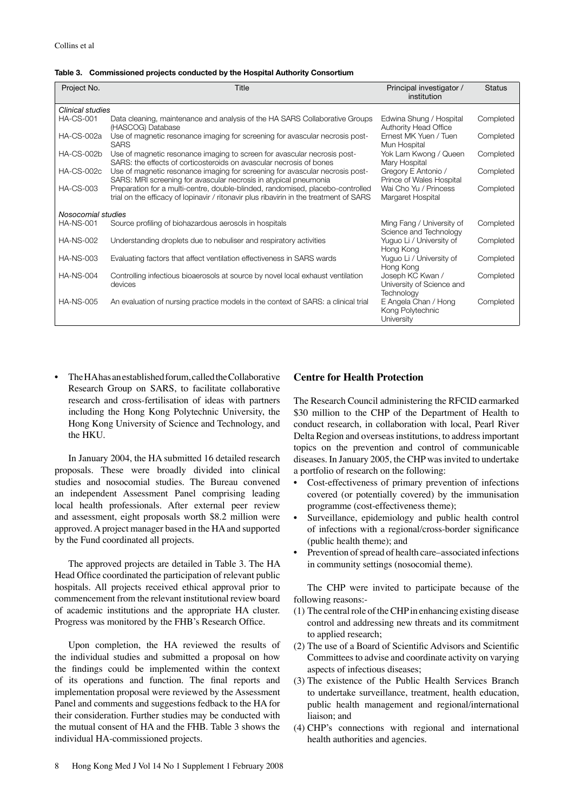|  | Table 3. Commissioned projects conducted by the Hospital Authority Consortium |
|--|-------------------------------------------------------------------------------|
|--|-------------------------------------------------------------------------------|

| Project No.        | Title                                                                                                                                                                    | Principal investigator /<br>institution                     | <b>Status</b> |
|--------------------|--------------------------------------------------------------------------------------------------------------------------------------------------------------------------|-------------------------------------------------------------|---------------|
| Clinical studies   |                                                                                                                                                                          |                                                             |               |
| <b>HA-CS-001</b>   | Data cleaning, maintenance and analysis of the HA SARS Collaborative Groups<br>(HASCOG) Database                                                                         | Edwina Shung / Hospital<br>Authority Head Office            | Completed     |
| <b>HA-CS-002a</b>  | Use of magnetic resonance imaging for screening for avascular necrosis post-<br><b>SARS</b>                                                                              | Ernest MK Yuen / Tuen<br>Mun Hospital                       | Completed     |
| <b>HA-CS-002b</b>  | Use of magnetic resonance imaging to screen for avascular necrosis post-<br>SARS: the effects of corticosteroids on avascular necrosis of bones                          | Yok Lam Kwong / Queen<br>Mary Hospital                      | Completed     |
| <b>HA-CS-002c</b>  | Use of magnetic resonance imaging for screening for avascular necrosis post-<br>SARS: MRI screening for avascular necrosis in atypical pneumonia                         | Gregory E Antonio /<br>Prince of Wales Hospital             | Completed     |
| <b>HA-CS-003</b>   | Preparation for a multi-centre, double-blinded, randomised, placebo-controlled<br>trial on the efficacy of lopinavir / ritonavir plus ribavirin in the treatment of SARS | Wai Cho Yu / Princess<br>Margaret Hospital                  | Completed     |
| Nosocomial studies |                                                                                                                                                                          |                                                             |               |
| <b>HA-NS-001</b>   | Source profiling of biohazardous aerosols in hospitals                                                                                                                   | Ming Fang / University of<br>Science and Technology         | Completed     |
| <b>HA-NS-002</b>   | Understanding droplets due to nebuliser and respiratory activities                                                                                                       | Yuguo Li / University of<br>Hong Kong                       | Completed     |
| <b>HA-NS-003</b>   | Evaluating factors that affect ventilation effectiveness in SARS wards                                                                                                   | Yuguo Li / University of<br>Hong Kong                       | Completed     |
| <b>HA-NS-004</b>   | Controlling infectious bioaerosols at source by novel local exhaust ventilation<br>devices                                                                               | Joseph KC Kwan /<br>University of Science and<br>Technology | Completed     |
| <b>HA-NS-005</b>   | An evaluation of nursing practice models in the context of SARS: a clinical trial                                                                                        | E Angela Chan / Hong<br>Kong Polytechnic<br>University      | Completed     |

 Research Group on SARS, to facilitate collaborative research and cross-fertilisation of ideas with partners including the Hong Kong Polytechnic University, the Hong Kong University of Science and Technology, and • TheHAhasanestablished forum,calledtheCollaborative the HKU.

 proposals. These were broadly divided into clinical studies and nosocomial studies. The Bureau convened an independent Assessment Panel comprising leading local health professionals. After external peer review and assessment, eight proposals worth \$8.2 million were approved. A project manager based in the HA and supported by the Fund coordinated all projects. In January 2004, the HA submitted 16 detailed research

 Head Office coordinated the participation of relevant public hospitals. All projects received ethical approval prior to commencement from the relevant institutional review board of academic institutions and the appropriate HA cluster. Progress was monitored by the FHB's Research Office. The approved projects are detailed in Table 3. The HA

 the individual studies and submitted a proposal on how the findings could be implemented within the context of its operations and function. The final reports and implementation proposal were reviewed by the Assessment Panel and comments and suggestions fedback to the HA for their consideration. Further studies may be conducted with the mutual consent of HA and the FHB. Table 3 shows the Upon completion, the HA reviewed the results of individual HA-commissioned projects.

# **Centre for Health Protection**

 The Research Council administering the RFCID earmarked \$30 million to the CHP of the Department of Health to conduct research, in collaboration with local, Pearl River Delta Region and overseas institutions, to address important topics on the prevention and control of communicable diseases. In January 2005, the CHP was invited to undertake a portfolio of research on the following:

- • Cost-effectiveness of primary prevention of infections covered (or potentially covered) by the immunisation programme (cost-effectiveness theme);
- • Surveillance, epidemiology and public health control of infections with a regional/cross-border significance (public health theme); and
- Prevention of spread of health care–associated infections in community settings (nosocomial theme).

The CHP were invited to participate because of the following reasons:-

- (1) The central role of the CHPin enhancing existing disease control and addressing new threats and its commitment to applied research;
- (2) The use of a Board of Scientific Advisors and Scientific Committees to advise and coordinate activity on varying aspects of infectious diseases;
- (3) The existence of the Public Health Services Branch to undertake surveillance, treatment, health education, public health management and regional/international liaison; and
- (4) CHP's connections with regional and international health authorities and agencies.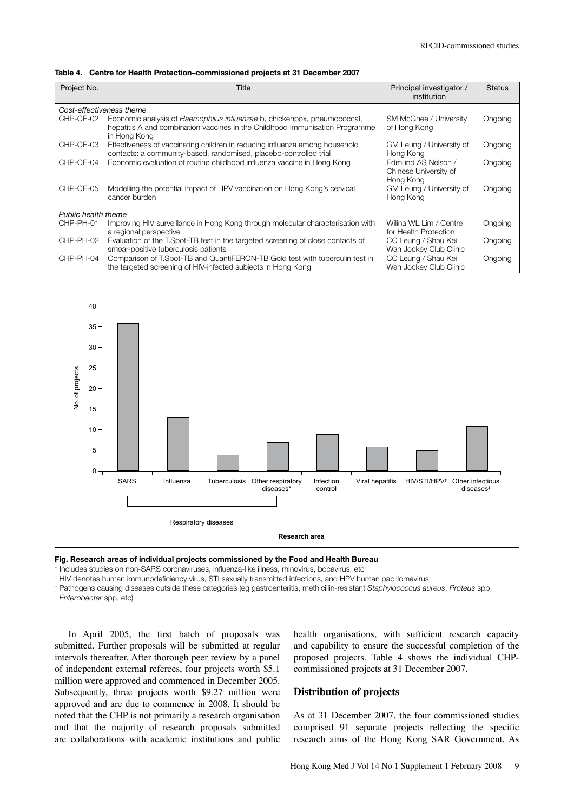|  | Table 4. Centre for Health Protection-commissioned projects at 31 December 2007 |
|--|---------------------------------------------------------------------------------|
|--|---------------------------------------------------------------------------------|

| Project No.              | Title                                                                                                                                                                           | Principal investigator /<br>institution                  | <b>Status</b> |  |  |
|--------------------------|---------------------------------------------------------------------------------------------------------------------------------------------------------------------------------|----------------------------------------------------------|---------------|--|--|
| Cost-effectiveness theme |                                                                                                                                                                                 |                                                          |               |  |  |
| CHP-CE-02                | Economic analysis of <i>Haemophilus influenzae</i> b, chickenpox, pneumococcal,<br>hepatitis A and combination vaccines in the Childhood Immunisation Programme<br>in Hong Kong | SM McGhee / University<br>of Hong Kong                   | Ongoing       |  |  |
| CHP-CE-03                | Effectiveness of vaccinating children in reducing influenza among household<br>contacts: a community-based, randomised, placebo-controlled trial                                | GM Leung / University of<br>Hong Kong                    | Ongoing       |  |  |
| CHP-CE-04                | Economic evaluation of routine childhood influenza vaccine in Hong Kong                                                                                                         | Edmund AS Nelson /<br>Chinese University of<br>Hong Kong | Ongoing       |  |  |
| CHP-CE-05                | Modelling the potential impact of HPV vaccination on Hong Kong's cervical<br>cancer burden                                                                                      | GM Leung / University of<br>Hong Kong                    | Ongoing       |  |  |
|                          | Public health theme                                                                                                                                                             |                                                          |               |  |  |
| CHP-PH-01                | Improving HIV surveillance in Hong Kong through molecular characterisation with<br>a regional perspective                                                                       | Wilina WL Lim / Centre<br>for Health Protection          | Ongoing       |  |  |
| CHP-PH-02                | Evaluation of the T.Spot-TB test in the targeted screening of close contacts of<br>smear-positive tuberculosis patients                                                         | CC Leung / Shau Kei<br>Wan Jockey Club Clinic            | Ongoing       |  |  |
| CHP-PH-04                | Comparison of T.Spot-TB and QuantiFERON-TB Gold test with tuberculin test in<br>the targeted screening of HIV-infected subjects in Hong Kong                                    | CC Leung / Shau Kei<br>Wan Jockey Club Clinic            | Ongoing       |  |  |



**Fig. Research areas of individual projects commissioned by the Food and Health Bureau** 

\* Includes studies on non-SARS coronaviruses, infuenza-like illness, rhinovirus, bocavirus, etc

† HIV denotes human immunodefciency virus, STI sexually transmitted infections, and HPV human papillomavirus

‡ Pathogens causing diseases outside these categories (eg gastroenteritis, methicillin-resistant *Staphylococcus aureus*, *Proteus* spp,

*Enterobacter* spp, etc)

submitted. Further proposals will be submitted at regular intervals thereafter. After thorough peer review by a panel of independent external referees, four projects worth \$5.1 commissioned projects at 31 December 2007. million were approved and commenced in December 2005. Subsequently, three projects worth \$9.27 million were **Distribution of projects** approved and are due to commence in 2008. It should be noted that the CHP is not primarily a research organisation and that the majority of research proposals submitted are collaborations with academic institutions and public intervals thereafter. After thorough peer review by a panel proposed projects. Table 4 shows the individual CHP-are collaborations with academic institutions and public research aims of the Hong Kong SAR Government. As

 In April 2005, the first batch of proposals was health organisations, with sufficient research capacity submitted. Further proposals will be submitted at regular and capability to ensure the successful completion of the commissioned projects at 31 December 2007.

noted that the CHP is not primarily a research organisation As at 31 December 2007, the four commissioned studies and that the majority of research proposals submitted comprised 91 separate projects reflecting the specific